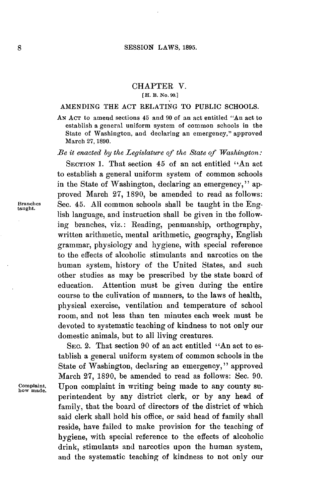## CHAPTER V. **[H. B. No. 90.]**

## **AMENDING** THE **ACT** RELATING TO PUBLIC **SCHOOLS.**

**AN ACT** to amend sections 45 and **90** of an act entitled "An act to establish a general uniform system of common schools in the State of Washington, and declaring an emergency," approved March **27, 1890.**

*Be it enacted by the Legislature of the State of Washington:*

**SECTION 1.** That section 45 of an act entitled "An act to establish a general uniform system of common schools in the State of Washington, declaring an emergency," approved March **27, 1890,** be amended to read as follows: **Branches** Sec. 45. **All** common schools shall be taught in the Eng- **taught.** lish language, and instruction shall be given in the following branches, viz.: Reading, penmanship, orthography, written arithmetic, mental arithmetic, geography, English grammar, physiology and hygiene, with special reference to the effects of alcoholic stimulants and narcotics on the human system, history of the United States, and such other studies as may be prescribed **by** the state board of education. Attention must be given during the entire course to the culivation of manners, to the laws of health, physical exercise, ventilation and temperature of school room, and not less than ten minutes each week must be devoted to systematic teaching of kindness to not only our domestic animals, but to all living creatures.

SEC. 2. That section **90** of an act entitled "An act to establish a general uniform system of common schools in the State of Washington, declaring an emergency, **"** approved March **27, 1890,** be amended to read as follows: Sec. **90. Complaint,** Upon complaint in writing being made to any county su- **how made.** perintendent **by** any district clerk, or **by** any head of family, that the board of directors of the district of which said clerk shall hold his office, or said head of family shall reside, have failed to make provision for the teaching of hygiene, with special reference to the effects of alcoholic drink, stimulants and narcotics upon the human system, and the systematic teaching of kindness to not only our